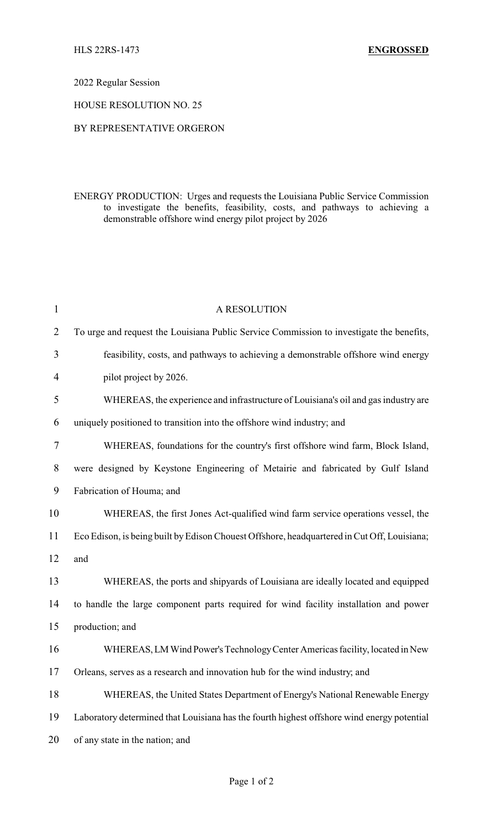2022 Regular Session

HOUSE RESOLUTION NO. 25

## BY REPRESENTATIVE ORGERON

ENERGY PRODUCTION: Urges and requests the Louisiana Public Service Commission to investigate the benefits, feasibility, costs, and pathways to achieving a demonstrable offshore wind energy pilot project by 2026

| $\mathbf{1}$   | A RESOLUTION                                                                                |
|----------------|---------------------------------------------------------------------------------------------|
| $\overline{2}$ | To urge and request the Louisiana Public Service Commission to investigate the benefits,    |
| 3              | feasibility, costs, and pathways to achieving a demonstrable offshore wind energy           |
| $\overline{4}$ | pilot project by 2026.                                                                      |
| 5              | WHEREAS, the experience and infrastructure of Louisiana's oil and gas industry are          |
| 6              | uniquely positioned to transition into the offshore wind industry; and                      |
| 7              | WHEREAS, foundations for the country's first offshore wind farm, Block Island,              |
| 8              | were designed by Keystone Engineering of Metairie and fabricated by Gulf Island             |
| 9              | Fabrication of Houma; and                                                                   |
| 10             | WHEREAS, the first Jones Act-qualified wind farm service operations vessel, the             |
| 11             | Eco Edison, is being built by Edison Chouest Offshore, headquartered in Cut Off, Louisiana; |
| 12             | and                                                                                         |
| 13             | WHEREAS, the ports and shipyards of Louisiana are ideally located and equipped              |
| 14             | to handle the large component parts required for wind facility installation and power       |
| 15             | production; and                                                                             |
| 16             | WHEREAS, LM Wind Power's Technology Center Americas facility, located in New                |
| 17             | Orleans, serves as a research and innovation hub for the wind industry, and                 |
| 18             | WHEREAS, the United States Department of Energy's National Renewable Energy                 |
| 19             | Laboratory determined that Louisiana has the fourth highest offshore wind energy potential  |
| 20             | of any state in the nation; and                                                             |